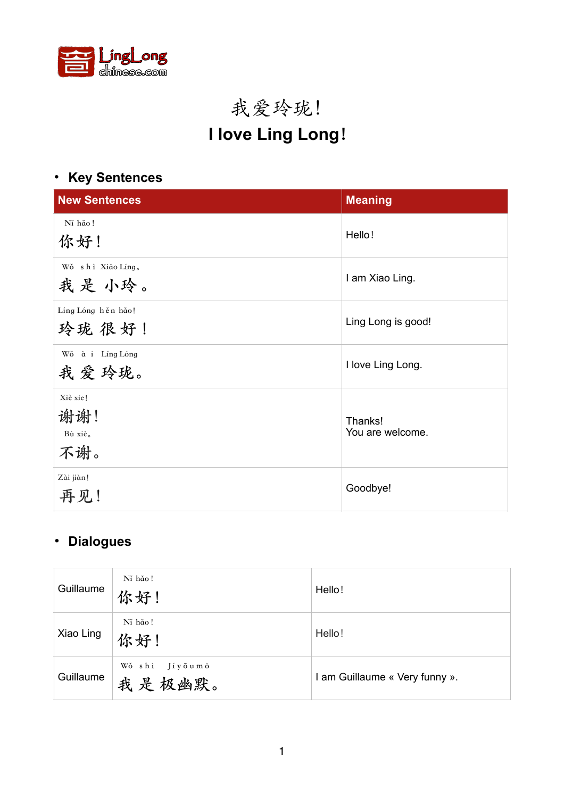

# 我爱玲珑! **I love Ling Long!**

## **• Key Sentences**

| <b>New Sentences</b>              | <b>Meaning</b>              |
|-----------------------------------|-----------------------------|
| Ní hǎo!<br>你好!                    | Hello!                      |
| Wǒ shì Xiǎo Líng。<br>我是小玲。        | I am Xiao Ling.             |
| Líng Lóng hěn hǎo!<br>玲珑 很好!      | Ling Long is good!          |
| Wǒ à i Líng Lóng<br>我爱玲珑。         | I love Ling Long.           |
| Xiè xie!<br>谢谢!<br>Bù xiè.<br>不谢。 | Thanks!<br>You are welcome. |
| Zài jiàn!<br>再见!                  | Goodbye!                    |

## • **Dialogues**

| Guillaume | Ní hǎo!<br>你好!              | Hello!                         |
|-----------|-----------------------------|--------------------------------|
| Xiao Ling | Ní hǎo!<br>你好!              | Hello!                         |
| Guillaume | Wǒ shì<br>Jíyōumò<br>我是极幽默。 | I am Guillaume « Very funny ». |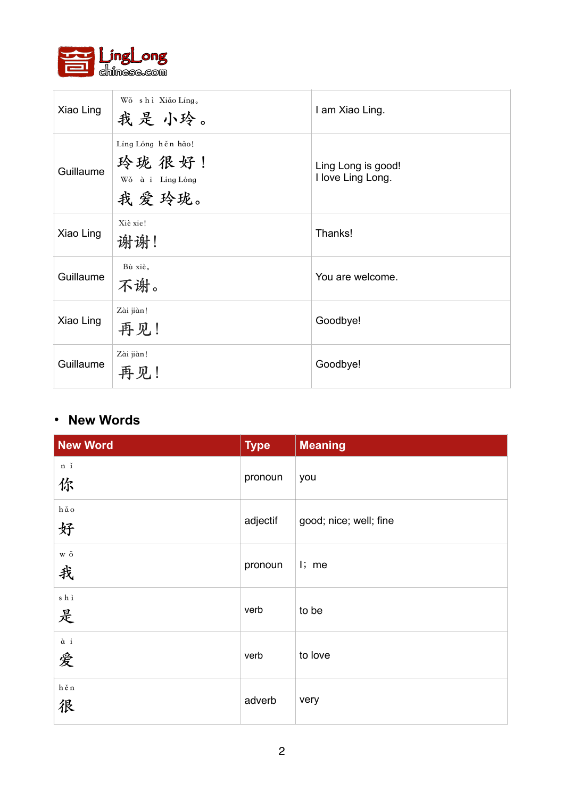

| Xiao Ling | Wǒ shì Xiǎo Líng.<br>我是小玲。                                | I am Xiao Ling.                         |
|-----------|-----------------------------------------------------------|-----------------------------------------|
| Guillaume | Líng Lóng hěn hǎo!<br>玲珑 很好!<br>Wǒ à i Líng Lóng<br>我爱玲珑。 | Ling Long is good!<br>I love Ling Long. |
| Xiao Ling | Xiè xie!<br>谢谢!                                           | Thanks!                                 |
| Guillaume | Bù xiè.<br>不谢。                                            | You are welcome.                        |
| Xiao Ling | Zài jiàn!<br>再见!                                          | Goodbye!                                |
| Guillaume | Zài jiàn!<br>再见!                                          | Goodbye!                                |

### **• New Words**

| <b>New Word</b>                         | <b>Type</b> | <b>Meaning</b>         |
|-----------------------------------------|-------------|------------------------|
| $\mathbf n$<br>$\check{\mathbf i}$<br>你 | pronoun     | you                    |
| $h\,\check\alpha\,o$<br>好               | adjectif    | good; nice; well; fine |
| $\ensuremath{\mathbf{w}}\xspace$ ŏ<br>我 | pronoun     | $\mathsf{I}$ ; me      |
| $\mathbf s$ h ì<br>是                    | verb        | to be                  |
| $\grave{\mathfrak{a}}$ i<br>爱           | verb        | to love                |
| $\mathbf{h}$ ě n<br>很                   | adverb      | very                   |